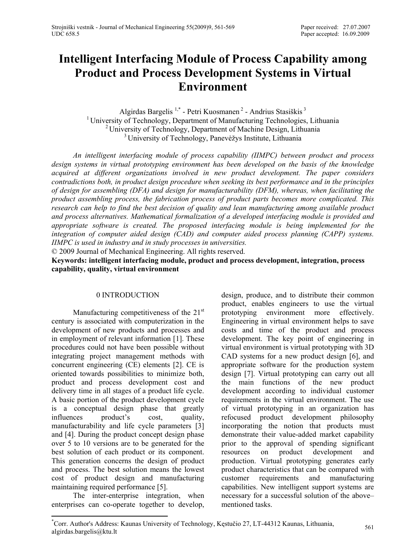# **Intelligent Interfacing Module of Process Capability among Product and Process Development Systems in Virtual Environment**

Algirdas Bargelis<sup>1,\*</sup> - Petri Kuosmanen<sup>2</sup> - Andrius Stasiškis<sup>3</sup> <sup>1</sup> University of Technology, Department of Manufacturing Technologies, Lithuania <sup>2</sup> University of Technology, Department of Machine Design, Lithuania <sup>3</sup> University of Technology, Panevėžys Institute, Lithuania

*An intelligent interfacing module of process capability (IIMPC) between product and process design systems in virtual prototyping environment has been developed on the basis of the knowledge acquired at different organizations involved in new product development. The paper considers contradictions both, in product design procedure when seeking its best performance and in the principles of design for assembling (DFA) and design for manufacturability (DFM), whereas, when facilitating the product assembling process, the fabrication process of product parts becomes more complicated. This research can help to find the best decision of quality and lean manufacturing among available product and process alternatives. Mathematical formalization of a developed interfacing module is provided and appropriate software is created. The proposed interfacing module is being implemented for the integration of computer aided design (CAD) and computer aided process planning (CAPP) systems. IIMPC is used in industry and in study processes in universities.* 

© 2009 Journal of Mechanical Engineering. All rights reserved.

**Keywords: intelligent interfacing module, product and process development, integration, process capability, quality, virtual environment**

#### 0 INTRODUCTION

Manufacturing competitiveness of the 21<sup>st</sup> century is associated with computerization in the development of new products and processes and in employment of relevant information [1]. These procedures could not have been possible without integrating project management methods with concurrent engineering (CE) elements [2]. CE is oriented towards possibilities to minimize both, product and process development cost and delivery time in all stages of a product life cycle. A basic portion of the product development cycle is a conceptual design phase that greatly influences product's cost, quality, manufacturability and life cycle parameters [3] and [4]. During the product concept design phase over 5 to 10 versions are to be generated for the best solution of each product or its component. This generation concerns the design of product and process. The best solution means the lowest cost of product design and manufacturing maintaining required performance [5].

The inter-enterprise integration, when enterprises can co-operate together to develop, design, produce, and to distribute their common product, enables engineers to use the virtual prototyping environment more effectively. Engineering in virtual environment helps to save costs and time of the product and process development. The key point of engineering in virtual environment is virtual prototyping with 3D CAD systems for a new product design [6], and appropriate software for the production system design [7]. Virtual prototyping can carry out all the main functions of the new product development according to individual customer requirements in the virtual environment. The use of virtual prototyping in an organization has refocused product development philosophy incorporating the notion that products must demonstrate their value-added market capability prior to the approval of spending significant resources on product development and production. Virtual prototyping generates early product characteristics that can be compared with customer requirements and manufacturing capabilities. New intelligent support systems are necessary for a successful solution of the above– mentioned tasks.

<sup>\*</sup> Corr. Author's Address: Kaunas University of Technology, Kęstučio 27, LT-44312 Kaunas, Lithuania, algirdas.bargelis@ktu.lt <sup>561</sup>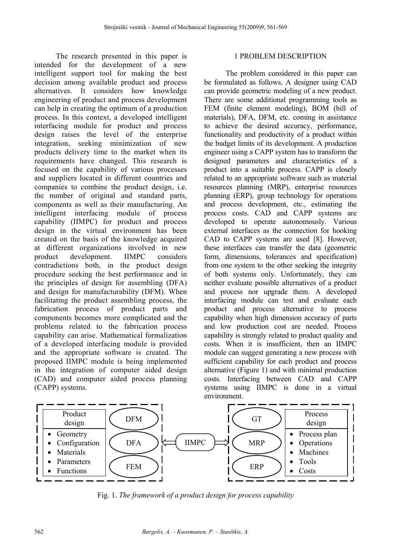The research presented in this paper is intended for the development of a new intelligent support tool for making the best decision among available product and process alternatives. It considers how knowledge engineering of product and process development can help in creating the optimum of a production process. In this context, a developed intelligent interfacing module for product and process design raises the level of the enterprise integration, seeking minimization of new products delivery time to the market when its requirements have changed. This research is focused on the capability of various processes and suppliers located in different countries and companies to combine the product design, i.e. the number of original and standard parts, components as well as their manufacturing. An intelligent interfacing module of process capability (IIMPC) for product and process design in the virtual environment has been created on the basis of the knowledge acquired at different organizations involved in new product development. IIMPC considers contradictions both, in the product design procedure seeking the best performance and in the principles of design for assembling (DFA) and design for manufacturability (DFM). When facilitating the product assembling process, the fabrication process of product parts and components becomes more complicated and the problems related to the fabrication process capability can arise. Mathematical formalization of a developed interfacing module is provided and the appropriate software is created. The proposed IIMPC module is being implemented in the integration of computer aided design (CAD) and computer aided process planning (CAPP) systems.

#### 1 PROBLEM DESCRIPTION

The problem considered in this paper can be formulated as follows. A designer using CAD can provide geometric modeling of a new product. There are some additional programming tools as FEM (finite element modeling), BOM (bill of materials), DFA, DFM, etc. coming in assistance to achieve the desired accuracy, performance, functionality and productivity of a product within the budget limits of its development. A production engineer using a CAPP system has to transform the designed parameters and characteristics of a product into a suitable process. CAPP is closely related to an appropriate software such as material resources planning (MRP), enterprise resources planning (ERP), group technology for operations and process development, etc., estimating the process costs. CAD and CAPP systems are developed to operate autonomously. Various external interfaces as the connection for hooking CAD to CAPP systems are used [8]. However, these interfaces can transfer the data (geometric form, dimensions, tolerances and specification) from one system to the other seeking the integrity of both systems only. Unfortunately, they can neither evaluate possible alternatives of a product and process nor upgrade them. A developed interfacing module can test and evaluate each product and process alternative to process capability when high dimension accuracy of parts and low production cost are needed. Process capability is strongly related to product quality and costs. When it is insufficient, then an IIMPC module can suggest generating a new process with sufficient capability for each product and process alternative (Figure 1) and with minimal production costs. Interfacing between CAD and CAPP systems using IIMPC is done in a virtual environment.



Fig. 1. *The framework of a product design for process capability*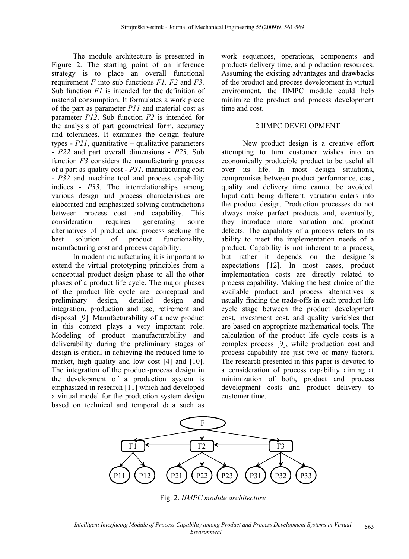The module architecture is presented in Figure 2. The starting point of an inference strategy is to place an overall functional requirement *F* into sub functions *F1, F2* and *F3*. Sub function *F1* is intended for the definition of material consumption. It formulates a work piece of the part as parameter *P11* and material cost as parameter *P12*. Sub function *F2* is intended for the analysis of part geometrical form, accuracy and tolerances. It examines the design feature types -  $P21$ , quantitative – qualitative parameters - *P22* and part overall dimensions - *P23*. Sub function *F3* considers the manufacturing process of a part as quality cost - *P31*, manufacturing cost - *P32* and machine tool and process capability indices - *P33*. The interrelationships among various design and process characteristics are elaborated and emphasized solving contradictions between process cost and capability. This consideration requires generating some alternatives of product and process seeking the best solution of product functionality, manufacturing cost and process capability.

In modern manufacturing it is important to extend the virtual prototyping principles from a conceptual product design phase to all the other phases of a product life cycle. The major phases of the product life cycle are: conceptual and preliminary design, detailed design and integration, production and use, retirement and disposal [9]. Manufacturability of a new product in this context plays a very important role. Modeling of product manufacturability and deliverability during the preliminary stages of design is critical in achieving the reduced time to market, high quality and low cost [4] and [10]. The integration of the product-process design in the development of a production system is emphasized in research [11] which had developed a virtual model for the production system design based on technical and temporal data such as

work sequences, operations, components and products delivery time, and production resources. Assuming the existing advantages and drawbacks of the product and process development in virtual environment, the IIMPC module could help minimize the product and process development time and cost.

#### 2 IIMPC DEVELOPMENT

New product design is a creative effort attempting to turn customer wishes into an economically producible product to be useful all over its life. In most design situations, compromises between product performance, cost, quality and delivery time cannot be avoided. Input data being different, variation enters into the product design. Production processes do not always make perfect products and, eventually, they introduce more variation and product defects. The capability of a process refers to its ability to meet the implementation needs of a product. Capability is not inherent to a process, but rather it depends on the designer's expectations [12]. In most cases, product implementation costs are directly related to process capability. Making the best choice of the available product and process alternatives is usually finding the trade-offs in each product life cycle stage between the product development cost, investment cost, and quality variables that are based on appropriate mathematical tools. The calculation of the product life cycle costs is a complex process [9], while production cost and process capability are just two of many factors. The research presented in this paper is devoted to a consideration of process capability aiming at minimization of both, product and process development costs and product delivery to customer time.



Fig. 2. *IIMPC module architecture*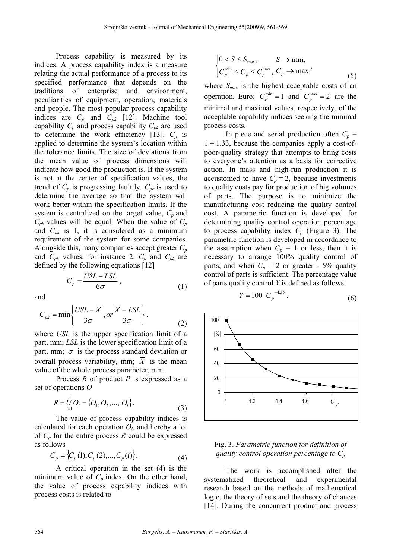Process capability is measured by its indices. A process capability index is a measure relating the actual performance of a process to its specified performance that depends on the traditions of enterprise and environment, peculiarities of equipment, operation, materials and people. The most popular process capability indices are  $C_p$  and  $C_{pk}$  [12]. Machine tool capability  $C_p$  and process capability  $C_{pk}$  are used to determine the work efficiency [13].  $C_p$  is applied to determine the system's location within the tolerance limits. The size of deviations from the mean value of process dimensions will indicate how good the production is. If the system is not at the center of specification values, the trend of  $C_p$  is progressing faultily.  $C_{pk}$  is used to determine the average so that the system will work better within the specification limits. If the system is centralized on the target value,  $C_p$  and  $C_{pk}$  values will be equal. When the value of  $C_p$ and  $C_{pk}$  is 1, it is considered as a minimum requirement of the system for some companies. Alongside this, many companies accept greater *Cp* and  $C_{pk}$  values, for instance 2.  $C_p$  and  $C_{pk}$  are defined by the following equations [12]

$$
C_p = \frac{USL - LSL}{6\sigma},\tag{1}
$$

and

$$
C_{pk} = \min\left\{\frac{USL - \overline{X}}{3\sigma}, or \frac{\overline{X} - LSL}{3\sigma}\right\},\tag{2}
$$

where *USL* is the upper specification limit of a part, mm; *LSL* is the lower specification limit of a part, mm;  $\sigma$  is the process standard deviation or overall process variability, mm;  $\overline{X}$  is the mean value of the whole process parameter, mm.

Process *R* of product *P* is expressed as a set of operations *O*

$$
R = \bigcup_{i=1}^{r} O_i = \{O_1, O_2, ..., O_i\}.
$$
 (3)

The value of process capability indices is calculated for each operation  $O_i$ , and hereby a lot of  $C_p$  for the entire process  $R$  could be expressed as follows

$$
C_p = \{C_p(1), C_p(2), ..., C_p(i)\}.
$$
 (4)

A critical operation in the set (4) is the minimum value of  $C_p$  index. On the other hand, the value of process capability indices with process costs is related to

$$
\begin{cases} 0 < S \le S_{\text{max}}, & S \to \text{min}, \\ C_p^{\min} \le C_p \le C_p^{\max}, & C_p \to \text{max} \end{cases} \tag{5}
$$

where  $S_{max}$  is the highest acceptable costs of an operation, Euro;  $C_p^{\min} = 1$  and  $C_n^{\max} = 2$  are the minimal and maximal values, respectively, of the acceptable capability indices seeking the minimal process costs.

In piece and serial production often  $C_p$  =  $1 \div 1.33$ , because the companies apply a cost-ofpoor-quality strategy that attempts to bring costs to everyone's attention as a basis for corrective action. In mass and high-run production it is accustomed to have  $C_p = 2$ , because investments to quality costs pay for production of big volumes of parts. The purpose is to minimize the manufacturing cost reducing the quality control cost. A parametric function is developed for determining quality control operation percentage to process capability index  $C_p$  (Figure 3). The parametric function is developed in accordance to the assumption when  $C_p = 1$  or less, then it is necessary to arrange 100% quality control of parts, and when  $C_p = 2$  or greater - 5% quality control of parts is sufficient. The percentage value of parts quality control *Y* is defined as follows:

$$
Y = 100 \cdot C_p^{-4.35} \,. \tag{6}
$$



### Fig. 3. *Parametric function for definition of quality control operation percentage to Cp*

The work is accomplished after the systematized theoretical and experimental research based on the methods of mathematical logic, the theory of sets and the theory of chances [14]. During the concurrent product and process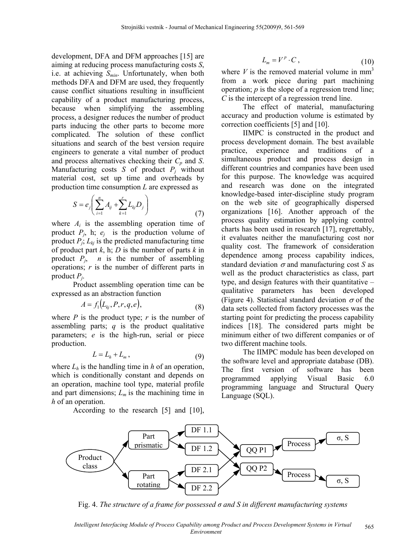development, DFA and DFM approaches [15] are aiming at reducing process manufacturing costs *S*, i.e. at achieving *Smin*. Unfortunately, when both methods DFA and DFM are used, they frequently cause conflict situations resulting in insufficient capability of a product manufacturing process, because when simplifying the assembling process, a designer reduces the number of product parts inducing the other parts to become more complicated. The solution of these conflict situations and search of the best version require engineers to generate a vital number of product and process alternatives checking their  $C_p$  and  $S$ . Manufacturing costs  $S$  of product  $P_i$  without material cost, set up time and overheads by production time consumption *L* are expressed as

$$
S = e_j \left( \sum_{i=1}^n A_{ij} + \sum_{k=1}^r L_{kj} D_j \right) \tag{7}
$$

where  $A_i$  is the assembling operation time of product  $P_i$ , h;  $e_i$  is the production volume of product  $P_i$ ;  $L_{ki}$  is the predicted manufacturing time of product part *k*, h; *D* is the number of parts *k* in product  $P_i$ , *n* is the number of assembling operations; *r* is the number of different parts in product *Pj*.

Product assembling operation time can be expressed as an abstraction function

$$
A = f_1(L_{kj}, P, r, q, e), \tag{8}
$$

where  $P$  is the product type;  $r$  is the number of assembling parts; *q* is the product qualitative parameters; *e* is the high-run, serial or piece production.

$$
L = L_h + L_m, \qquad (9)
$$

where  $L_h$  is the handling time in  $h$  of an operation, which is conditionally constant and depends on an operation, machine tool type, material profile and part dimensions;  $L_m$  is the machining time in *h* of an operation.

According to the research [5] and [10],

$$
L_m = V^p \cdot C \,, \tag{10}
$$

where  $V$  is the removed material volume in  $mm<sup>3</sup>$ from a work piece during part machining operation; *p* is the slope of a regression trend line; *C* is the intercept of a regression trend line.

The effect of material, manufacturing accuracy and production volume is estimated by correction coefficients [5] and [10].

IIMPC is constructed in the product and process development domain. The best available practice, experience and traditions of a simultaneous product and process design in different countries and companies have been used for this purpose. The knowledge was acquired and research was done on the integrated knowledge-based inter-discipline study program on the web site of geographically dispersed organizations [16]. Another approach of the process quality estimation by applying control charts has been used in research [17], regrettably, it evaluates neither the manufacturing cost nor quality cost. The framework of consideration dependence among process capability indices, standard deviation  $\sigma$  and manufacturing cost *S* as well as the product characteristics as class, part type, and design features with their quantitative – qualitative parameters has been developed (Figure 4). Statistical standard deviation  $\sigma$  of the data sets collected from factory processes was the starting point for predicting the process capability indices [18]. The considered parts might be minimum either of two different companies or of two different machine tools.

The IIMPC module has been developed on the software level and appropriate database (DB). The first version of software has been programmed applying Visual Basic 6.0 programming language and Structural Query Language (SQL).



Fig. 4. *The structure of a frame for possessed σ and S in different manufacturing systems*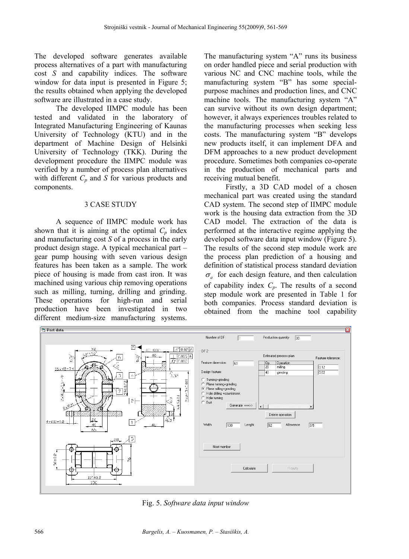The developed software generates available process alternatives of a part with manufacturing cost *S* and capability indices. The software window for data input is presented in Figure 5; the results obtained when applying the developed software are illustrated in a case study.

The developed IIMPC module has been tested and validated in the laboratory of Integrated Manufacturing Engineering of Kaunas University of Technology (KTU) and in the department of Machine Design of Helsinki University of Technology (TKK). During the development procedure the IIMPC module was verified by a number of process plan alternatives with different  $C_p$  and  $S$  for various products and components.

#### 3 CASE STUDY

A sequence of IIMPC module work has shown that it is aiming at the optimal  $C_p$  index and manufacturing cost *S* of a process in the early product design stage. A typical mechanical part – gear pump housing with seven various design features has been taken as a sample. The work piece of housing is made from cast iron. It was machined using various chip removing operations such as milling, turning, drilling and grinding. These operations for high-run and serial production have been investigated in two different medium-size manufacturing systems.

The manufacturing system "A" runs its business on order handled piece and serial production with various NC and CNC machine tools, while the manufacturing system "B" has some specialpurpose machines and production lines, and CNC machine tools. The manufacturing system "A" can survive without its own design department; however, it always experiences troubles related to the manufacturing processes when seeking less costs. The manufacturing system "B" develops new products itself, it can implement DFA and DFM approaches to a new product development procedure. Sometimes both companies co-operate in the production of mechanical parts and receiving mutual benefit.

Firstly, a 3D CAD model of a chosen mechanical part was created using the standard CAD system. The second step of IIMPC module work is the housing data extraction from the 3D CAD model. The extraction of the data is performed at the interactive regime applying the developed software data input window (Figure 5). The results of the second step module work are the process plan prediction of a housing and definition of statistical process standard deviation  $\sigma_a$  for each design feature, and then calculation of capability index *Cp*. The results of a second step module work are presented in Table 1 for both companies. Process standard deviation is obtained from the machine tool capability



Fig. 5. *Software data input window*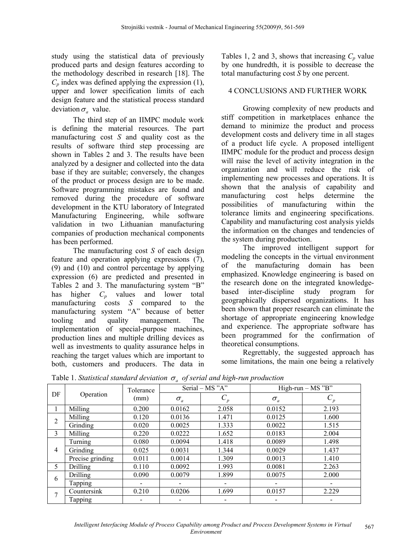study using the statistical data of previously produced parts and design features according to the methodology described in research [18]. The  $C_p$  index was defined applying the expression (1), upper and lower specification limits of each design feature and the statistical process standard deviation  $\sigma_a$  value.

The third step of an IIMPC module work is defining the material resources. The part manufacturing cost *S* and quality cost as the results of software third step processing are shown in Tables 2 and 3. The results have been analyzed by a designer and collected into the data base if they are suitable; conversely, the changes of the product or process design are to be made. Software programming mistakes are found and removed during the procedure of software development in the KTU laboratory of Integrated Manufacturing Engineering, while software validation in two Lithuanian manufacturing companies of production mechanical components has been performed.

The manufacturing cost *S* of each design feature and operation applying expressions  $(7)$ , (9) and (10) and control percentage by applying expression (6) are predicted and presented in Tables 2 and 3. The manufacturing system "B" has higher *Cp* values and lower total manufacturing costs *S* compared to the manufacturing system "A" because of better tooling and quality management. The implementation of special-purpose machines, production lines and multiple drilling devices as well as investments to quality assurance helps in reaching the target values which are important to both, customers and producers. The data in Tables 1, 2 and 3, shows that increasing  $C_p$  value by one hundredth, it is possible to decrease the total manufacturing cost *S* by one percent.

## 4 CONCLUSIONS AND FURTHER WORK

Growing complexity of new products and stiff competition in marketplaces enhance the demand to minimize the product and process development costs and delivery time in all stages of a product life cycle. A proposed intelligent IIMPC module for the product and process design will raise the level of activity integration in the organization and will reduce the risk of implementing new processes and operations. It is shown that the analysis of capability and manufacturing cost helps determine the possibilities of manufacturing within the tolerance limits and engineering specifications. Capability and manufacturing cost analysis yields the information on the changes and tendencies of the system during production.

The improved intelligent support for modeling the concepts in the virtual environment of the manufacturing domain has been emphasized. Knowledge engineering is based on the research done on the integrated knowledgebased inter-discipline study program for geographically dispersed organizations. It has been shown that proper research can eliminate the shortage of appropriate engineering knowledge and experience. The appropriate software has been programmed for the confirmation of theoretical consumptions.

Regrettably, the suggested approach has some limitations, the main one being a relatively

| DF             | Operation        | Tolerance<br>(mm)        |            | Serial $- MS "A"$ | $High-run - MS "B"$ |       |  |  |
|----------------|------------------|--------------------------|------------|-------------------|---------------------|-------|--|--|
|                |                  |                          | $\sigma_a$ | $C_p$             | $\sigma_a$          | $C_p$ |  |  |
| 1              | Milling          | 0.200                    | 0.0162     | 2.058             | 0.0152              | 2.193 |  |  |
| $\overline{c}$ | Milling          | 0.120                    | 0.0136     | 1.471             | 0.0125              | 1.600 |  |  |
|                | Grinding         | 0.020                    | 0.0025     | 1.333             | 0.0022              | 1.515 |  |  |
| 3              | Milling          | 0.220                    | 0.0222     | 1.652             | 0.0183              | 2.004 |  |  |
| 4              | Turning          | 0.080                    | 0.0094     | 1.418             | 0.0089              | 1.498 |  |  |
|                | Grinding         | 0.025                    | 0.0031     | 1.344             | 0.0029              | 1.437 |  |  |
|                | Precise grinding | 0.011                    | 0.0014     | 1.309             | 0.0013              | 1.410 |  |  |
| 5              | Drilling         | 0.110                    | 0.0092     | 1.993             | 0.0081              | 2.263 |  |  |
| 6              | Drilling         | 0.090                    | 0.0079     | 1.899             | 0.0075              | 2.000 |  |  |
|                | Tapping          | $\overline{\phantom{0}}$ |            | -                 |                     | -     |  |  |
| $\overline{ }$ | Countersink      | 0.210                    | 0.0206     | 1.699             | 0.0157              | 2.229 |  |  |
|                | Tapping          |                          |            |                   |                     |       |  |  |

Table 1. *Statistical standard deviation* <sup>σ</sup> *a of serial and high-run production*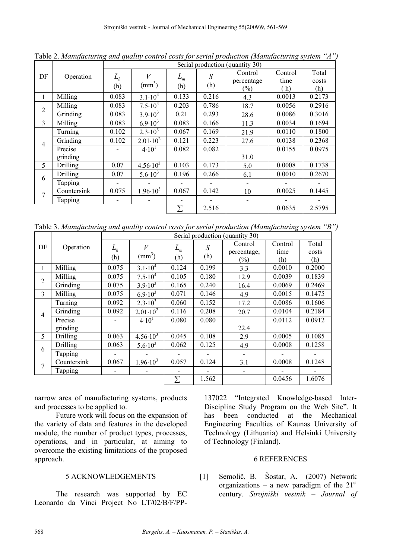|                | Operation   | Serial production (quantity 30) |                     |                          |       |            |         |        |
|----------------|-------------|---------------------------------|---------------------|--------------------------|-------|------------|---------|--------|
| DF             |             | $L_h$                           | V                   | $L_m$                    | S     | Control    | Control | Total  |
|                |             |                                 |                     |                          |       | percentage | time    | costs  |
|                |             | (h)                             | $\text{(mm)}^3$     | (h)                      | (h)   | $(\%)$     | (h)     | (h)    |
| 1              | Milling     | 0.083                           | $3.1 \cdot 10^{4}$  | 0.133                    | 0.216 | 4.3        | 0.0013  | 0.2173 |
| $\overline{2}$ | Milling     | 0.083                           | $7.5 \cdot 10^4$    | 0.203                    | 0.786 | 18.7       | 0.0056  | 0.2916 |
|                | Grinding    | 0.083                           | $3.9 \cdot 10^3$    | 0.21                     | 0.293 | 28.6       | 0.0086  | 0.3016 |
| 3              | Milling     | 0.083                           | $6.9 \cdot 10^{3}$  | 0.083                    | 0.166 | 11.3       | 0.0034  | 0.1694 |
| $\overline{4}$ | Turning     | 0.102                           | $2.3 \cdot 10^3$    | 0.067                    | 0.169 | 21.9       | 0.0110  | 0.1800 |
|                | Grinding    | 0.102                           | $2.01 \cdot 10^{2}$ | 0.121                    | 0.223 | 27.6       | 0.0138  | 0.2368 |
|                | Precise     |                                 | 4.10 <sup>1</sup>   | 0.082                    | 0.082 |            | 0.0155  | 0.0975 |
|                | grinding    |                                 |                     |                          |       | 31.0       |         |        |
| 5              | Drilling    | 0.07                            | $4.56 \cdot 10^3$   | 0.103                    | 0.173 | 5.0        | 0.0008  | 0.1738 |
| 6              | Drilling    | 0.07                            | $5.6 \cdot 10^{3}$  | 0.196                    | 0.266 | 6.1        | 0.0010  | 0.2670 |
|                | Tapping     |                                 |                     |                          |       |            |         |        |
| 7              | Countersink | 0.075                           | $1.96 \cdot 10^3$   | 0.067                    | 0.142 | 10         | 0.0025  | 0.1445 |
|                | Tapping     | $\overline{\phantom{a}}$        | -                   | $\overline{\phantom{a}}$ |       |            |         |        |
|                |             |                                 |                     | Σ                        | 2.516 |            | 0.0635  | 2.5795 |

Table 2. *Manufacturing and quality control costs for serial production (Manufacturing system "A")* 

Table 3. *Manufacturing and quality control costs for serial production (Manufacturing system "B")* 

|                | Operation   | Serial production (quantity 30) |                     |       |                          |                          |         |                          |
|----------------|-------------|---------------------------------|---------------------|-------|--------------------------|--------------------------|---------|--------------------------|
| DF             |             | $L_h$                           | V                   | $L_m$ | S                        | Control                  | Control | Total                    |
|                |             |                                 |                     |       |                          | percentage,              | time    | costs                    |
|                |             | (h)                             | $(mm^3)$            | (h)   | (h)                      | $(\%)$                   | (h)     | (h)                      |
|                | Milling     | 0.075                           | $3.1 \cdot 10^{4}$  | 0.124 | 0.199                    | 3.3                      | 0.0010  | 0.2000                   |
| $\overline{2}$ | Milling     | 0.075                           | $7.5 \cdot 10^4$    | 0.105 | 0.180                    | 12.9                     | 0.0039  | 0.1839                   |
|                | Grinding    | 0.075                           | $3.9 \cdot 10^3$    | 0.165 | 0.240                    | 16.4                     | 0.0069  | 0.2469                   |
| 3              | Milling     | 0.075                           | $6.9 \cdot 10^3$    | 0.071 | 0.146                    | 4.9                      | 0.0015  | 0.1475                   |
| $\overline{4}$ | Turning     | 0.092                           | $2.3 \cdot 10^3$    | 0.060 | 0.152                    | 17.2                     | 0.0086  | 0.1606                   |
|                | Grinding    | 0.092                           | $2.01 \cdot 10^2$   | 0.116 | 0.208                    | 20.7                     | 0.0104  | 0.2184                   |
|                | Precise     |                                 | 4.10 <sup>1</sup>   | 0.080 | 0.080                    |                          | 0.0112  | 0.0912                   |
|                | grinding    |                                 |                     |       |                          | 22.4                     |         |                          |
| 5              | Drilling    | 0.063                           | $4.56 \cdot 10^{3}$ | 0.045 | 0.108                    | 2.9                      | 0.0005  | 0.1085                   |
| 6              | Drilling    | 0.063                           | $5.6 \cdot 10^3$    | 0.062 | 0.125                    | 4.9                      | 0.0008  | 0.1258                   |
|                | Tapping     | -                               |                     |       | $\overline{\phantom{0}}$ | $\overline{\phantom{a}}$ |         | $\overline{\phantom{0}}$ |
| 7              | Countersink | 0.067                           | $1.96 \cdot 10^3$   | 0.057 | 0.124                    | 3.1                      | 0.0008  | 0.1248                   |
|                | Tapping     |                                 |                     |       | $\overline{\phantom{0}}$ |                          |         | $\overline{\phantom{0}}$ |
|                |             |                                 |                     | Σ     | 1.562                    |                          | 0.0456  | 1.6076                   |

narrow area of manufacturing systems, products and processes to be applied to.

Future work will focus on the expansion of the variety of data and features in the developed module, the number of product types, processes, operations, and in particular, at aiming to overcome the existing limitations of the proposed approach.

## 5 ACKNOWLEDGEMENTS

The research was supported by EC Leonardo da Vinci Project No LT/02/B/F/PP-

137022 "Integrated Knowledge-based Inter-Discipline Study Program on the Web Site". It has been conducted at the Mechanical Engineering Faculties of Kaunas University of Technology (Lithuania) and Helsinki University of Technology (Finland).

## 6 REFERENCES

[1] Semolič, B. Šostar, A. (2007) Network organizations – a new paradigm of the  $21<sup>st</sup>$ century. *Strojniški vestnik – Journal of*